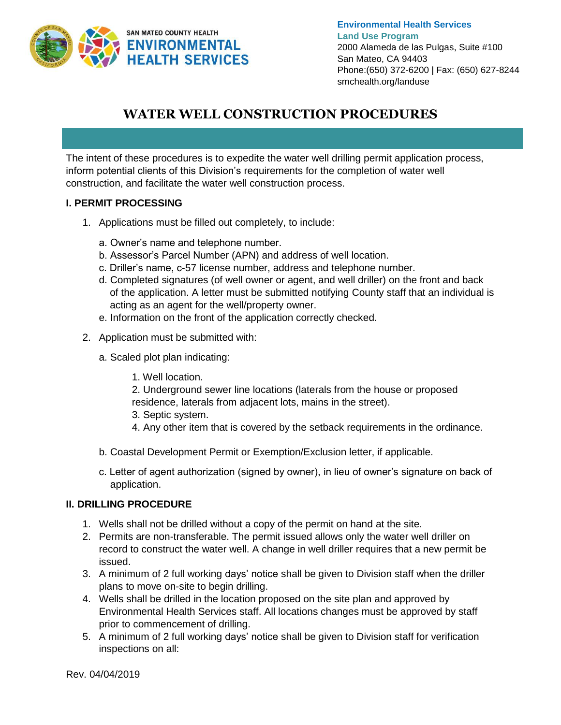

**Environmental Health Services Land Use Program** 2000 Alameda de las Pulgas, Suite #100 San Mateo, CA 94403 Phone:(650) 372-6200 | Fax: (650) 627-8244 smchealth.org/landuse

# **WATER WELL CONSTRUCTION PROCEDURES**

The intent of these procedures is to expedite the water well drilling permit application process, inform potential clients of this Division's requirements for the completion of water well construction, and facilitate the water well construction process.

# **I. PERMIT PROCESSING**

- 1. Applications must be filled out completely, to include:
	- a. Owner's name and telephone number.
	- b. Assessor's Parcel Number (APN) and address of well location.
	- c. Driller's name, c-57 license number, address and telephone number.
	- d. Completed signatures (of well owner or agent, and well driller) on the front and back of the application. A letter must be submitted notifying County staff that an individual is acting as an agent for the well/property owner.
	- e. Information on the front of the application correctly checked.
- 2. Application must be submitted with:
	- a. Scaled plot plan indicating:
		- 1. Well location.

2. Underground sewer line locations (laterals from the house or proposed residence, laterals from adjacent lots, mains in the street).

- 3. Septic system.
- 4. Any other item that is covered by the setback requirements in the ordinance.
- b. Coastal Development Permit or Exemption/Exclusion letter, if applicable.
- c. Letter of agent authorization (signed by owner), in lieu of owner's signature on back of application.

# **II. DRILLING PROCEDURE**

- 1. Wells shall not be drilled without a copy of the permit on hand at the site.
- 2. Permits are non-transferable. The permit issued allows only the water well driller on record to construct the water well. A change in well driller requires that a new permit be issued.
- 3. A minimum of 2 full working days' notice shall be given to Division staff when the driller plans to move on-site to begin drilling.
- 4. Wells shall be drilled in the location proposed on the site plan and approved by Environmental Health Services staff. All locations changes must be approved by staff prior to commencement of drilling.
- 5. A minimum of 2 full working days' notice shall be given to Division staff for verification inspections on all: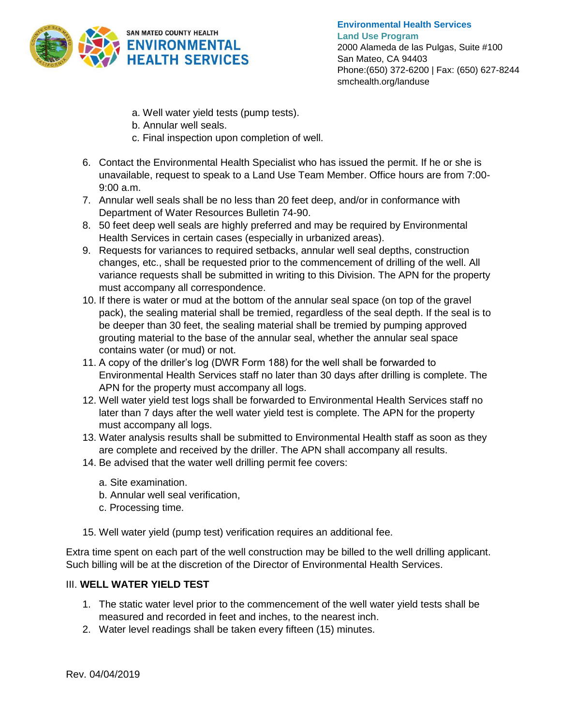

- a. Well water yield tests (pump tests).
- b. Annular well seals.
- c. Final inspection upon completion of well.
- 6. Contact the Environmental Health Specialist who has issued the permit. If he or she is unavailable, request to speak to a Land Use Team Member. Office hours are from 7:00- 9:00 a.m.
- 7. Annular well seals shall be no less than 20 feet deep, and/or in conformance with Department of Water Resources Bulletin 74-90.
- 8. 50 feet deep well seals are highly preferred and may be required by Environmental Health Services in certain cases (especially in urbanized areas).
- 9. Requests for variances to required setbacks, annular well seal depths, construction changes, etc., shall be requested prior to the commencement of drilling of the well. All variance requests shall be submitted in writing to this Division. The APN for the property must accompany all correspondence.
- 10. If there is water or mud at the bottom of the annular seal space (on top of the gravel pack), the sealing material shall be tremied, regardless of the seal depth. If the seal is to be deeper than 30 feet, the sealing material shall be tremied by pumping approved grouting material to the base of the annular seal, whether the annular seal space contains water (or mud) or not.
- 11. A copy of the driller's log (DWR Form 188) for the well shall be forwarded to Environmental Health Services staff no later than 30 days after drilling is complete. The APN for the property must accompany all logs.
- 12. Well water yield test logs shall be forwarded to Environmental Health Services staff no later than 7 days after the well water yield test is complete. The APN for the property must accompany all logs.
- 13. Water analysis results shall be submitted to Environmental Health staff as soon as they are complete and received by the driller. The APN shall accompany all results.
- 14. Be advised that the water well drilling permit fee covers:
	- a. Site examination.
	- b. Annular well seal verification,
	- c. Processing time.
- 15. Well water yield (pump test) verification requires an additional fee.

Extra time spent on each part of the well construction may be billed to the well drilling applicant. Such billing will be at the discretion of the Director of Environmental Health Services.

# III. **WELL WATER YIELD TEST**

- 1. The static water level prior to the commencement of the well water yield tests shall be measured and recorded in feet and inches, to the nearest inch.
- 2. Water level readings shall be taken every fifteen (15) minutes.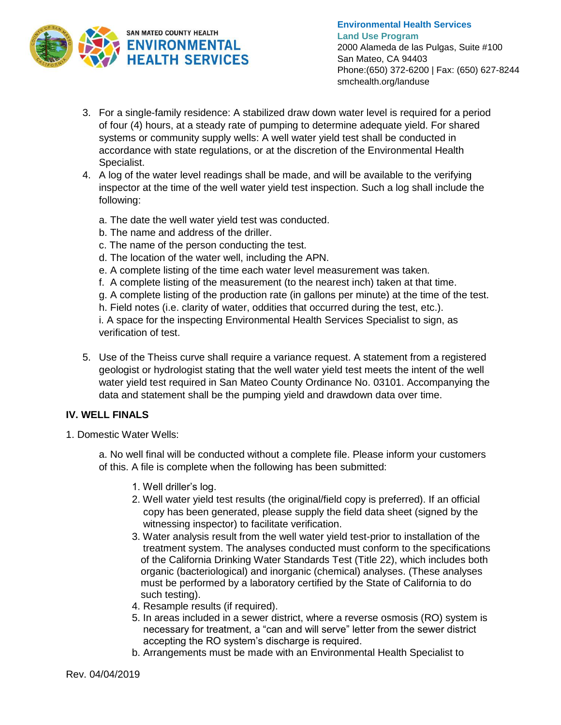

**Environmental Health Services Land Use Program** 2000 Alameda de las Pulgas, Suite #100 San Mateo, CA 94403 Phone:(650) 372-6200 | Fax: (650) 627-8244 smchealth.org/landuse

- 3. For a single-family residence: A stabilized draw down water level is required for a period of four (4) hours, at a steady rate of pumping to determine adequate yield. For shared systems or community supply wells: A well water yield test shall be conducted in accordance with state regulations, or at the discretion of the Environmental Health Specialist.
- 4. A log of the water level readings shall be made, and will be available to the verifying inspector at the time of the well water yield test inspection. Such a log shall include the following:
	- a. The date the well water yield test was conducted.
	- b. The name and address of the driller.
	- c. The name of the person conducting the test.
	- d. The location of the water well, including the APN.
	- e. A complete listing of the time each water level measurement was taken.
	- f. A complete listing of the measurement (to the nearest inch) taken at that time.
	- g. A complete listing of the production rate (in gallons per minute) at the time of the test.
	- h. Field notes (i.e. clarity of water, oddities that occurred during the test, etc.).

i. A space for the inspecting Environmental Health Services Specialist to sign, as verification of test.

5. Use of the Theiss curve shall require a variance request. A statement from a registered geologist or hydrologist stating that the well water yield test meets the intent of the well water yield test required in San Mateo County Ordinance No. 03101. Accompanying the data and statement shall be the pumping yield and drawdown data over time.

# **IV. WELL FINALS**

1. Domestic Water Wells:

a. No well final will be conducted without a complete file. Please inform your customers of this. A file is complete when the following has been submitted:

- 1. Well driller's log.
- 2. Well water yield test results (the original/field copy is preferred). If an official copy has been generated, please supply the field data sheet (signed by the witnessing inspector) to facilitate verification.
- 3. Water analysis result from the well water yield test-prior to installation of the treatment system. The analyses conducted must conform to the specifications of the California Drinking Water Standards Test (Title 22), which includes both organic (bacteriological) and inorganic (chemical) analyses. (These analyses must be performed by a laboratory certified by the State of California to do such testing).
- 4. Resample results (if required).
- 5. In areas included in a sewer district, where a reverse osmosis (RO) system is necessary for treatment, a "can and will serve" letter from the sewer district accepting the RO system's discharge is required.
- b. Arrangements must be made with an Environmental Health Specialist to